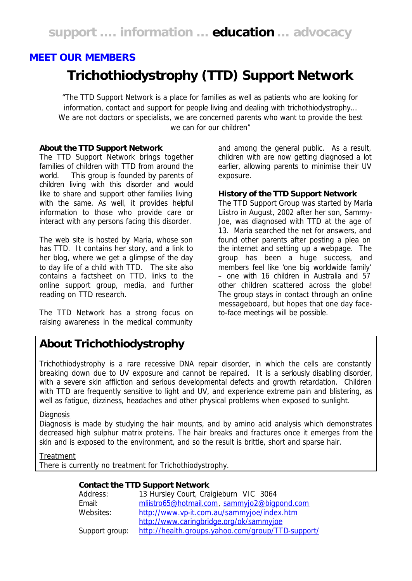# *MEET OUR MEMBERS* **Trichothiodystrophy (TTD) Support Network**

*"The TTD Support Network is a place for families as well as patients who are looking for information, contact and support for people living and dealing with trichothiodystrophy… We are not doctors or specialists, we are concerned parents who want to provide the best we can for our children"*

### **About the TTD Support Network**

The TTD Support Network brings together families of children with TTD from around the world. This group is founded by parents of children living with this disorder and would like to share and support other families living with the same. As well, it provides helpful information to those who provide care or interact with any persons facing this disorder.

The web site is hosted by Maria, whose son has TTD. It contains her story, and a link to her blog, where we get a glimpse of the day to day life of a child with TTD. The site also contains a factsheet on TTD, links to the online support group, media, and further reading on TTD research.

The TTD Network has a strong focus on raising awareness in the medical community and among the general public. As a result, children with are now getting diagnosed a lot earlier, allowing parents to minimise their UV exposure.

#### **History of the TTD Support Network**

The TTD Support Group was started by Maria Liistro in August, 2002 after her son, Sammy-Joe, was diagnosed with TTD at the age of 13. Maria searched the net for answers, and found other parents after posting a plea on the internet and setting up a webpage. The group has been a huge success, and members feel like 'one big worldwide family' – one with 16 children in Australia and 57 other children scattered across the globe! The group stays in contact through an online messageboard, but hopes that one day faceto-face meetings will be possible.

## **About Trichothiodystrophy**

Trichothiodystrophy is a rare recessive DNA repair disorder, in which the cells are constantly breaking down due to UV exposure and cannot be repaired. It is a seriously disabling disorder, with a severe skin affliction and serious developmental defects and growth retardation. Children with TTD are frequently sensitive to light and UV, and experience extreme pain and blistering, as well as fatigue, dizziness, headaches and other physical problems when exposed to sunlight.

#### **Diagnosis**

Diagnosis is made by studying the hair mounts, and by amino acid analysis which demonstrates decreased high sulphur matrix proteins. The hair breaks and fractures once it emerges from the skin and is exposed to the environment, and so the result is brittle, short and sparse hair.

### **Treatment**

There is currently no treatment for Trichothiodystrophy.

#### **Contact the TTD Support Network**

| Address:       | 13 Hursley Court, Craigieburn VIC 3064            |
|----------------|---------------------------------------------------|
| Email:         | mliistro65@hotmail.com, sammyjo2@bigpond.com      |
| Websites:      | http://www.vp-it.com.au/sammyjoe/index.htm        |
|                | http://www.caringbridge.org/ok/sammyjoe           |
| Support group: | http://health.groups.yahoo.com/group/TTD-support/ |